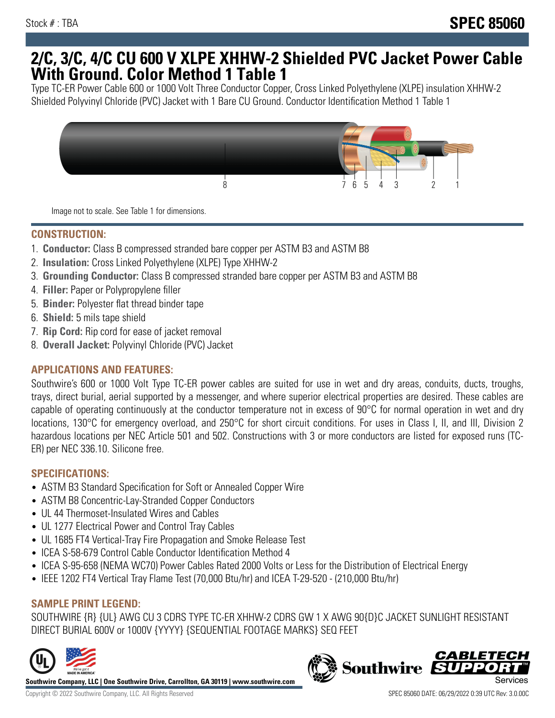## **2/C, 3/C, 4/C CU 600 V XLPE XHHW-2 Shielded PVC Jacket Power Cable With Ground. Color Method 1 Table 1**

Type TC-ER Power Cable 600 or 1000 Volt Three Conductor Copper, Cross Linked Polyethylene (XLPE) insulation XHHW-2 Shielded Polyvinyl Chloride (PVC) Jacket with 1 Bare CU Ground. Conductor Identification Method 1 Table 1



Image not to scale. See Table 1 for dimensions.

#### **CONSTRUCTION:**

- 1. **Conductor:** Class B compressed stranded bare copper per ASTM B3 and ASTM B8
- 2. **Insulation:** Cross Linked Polyethylene (XLPE) Type XHHW-2
- 3. **Grounding Conductor:** Class B compressed stranded bare copper per ASTM B3 and ASTM B8
- 4. **Filler:** Paper or Polypropylene filler
- 5. **Binder:** Polyester flat thread binder tape
- 6. **Shield:** 5 mils tape shield
- 7. **Rip Cord:** Rip cord for ease of jacket removal
- 8. **Overall Jacket:** Polyvinyl Chloride (PVC) Jacket

## **APPLICATIONS AND FEATURES:**

Southwire's 600 or 1000 Volt Type TC-ER power cables are suited for use in wet and dry areas, conduits, ducts, troughs, trays, direct burial, aerial supported by a messenger, and where superior electrical properties are desired. These cables are capable of operating continuously at the conductor temperature not in excess of 90°C for normal operation in wet and dry locations, 130°C for emergency overload, and 250°C for short circuit conditions. For uses in Class I, II, and III, Division 2 hazardous locations per NEC Article 501 and 502. Constructions with 3 or more conductors are listed for exposed runs (TC-ER) per NEC 336.10. Silicone free.

#### **SPECIFICATIONS:**

- ASTM B3 Standard Specification for Soft or Annealed Copper Wire
- ASTM B8 Concentric-Lay-Stranded Copper Conductors
- UL 44 Thermoset-Insulated Wires and Cables
- UL 1277 Electrical Power and Control Tray Cables
- UL 1685 FT4 Vertical-Tray Fire Propagation and Smoke Release Test
- ICEA S-58-679 Control Cable Conductor Identification Method 4
- ICEA S-95-658 (NEMA WC70) Power Cables Rated 2000 Volts or Less for the Distribution of Electrical Energy
- IEEE 1202 FT4 Vertical Tray Flame Test (70,000 Btu/hr) and ICEA T-29-520 (210,000 Btu/hr)

## **SAMPLE PRINT LEGEND:**

SOUTHWIRE {R} {UL} AWG CU 3 CDRS TYPE TC-ER XHHW-2 CDRS GW 1 X AWG 90{D}C JACKET SUNLIGHT RESISTANT DIRECT BURIAL 600V or 1000V {YYYY} {SEQUENTIAL FOOTAGE MARKS} SEQ FEET



**Southwire Company, LLC | One Southwire Drive, Carrollton, GA 30119 | www.southwire.com**